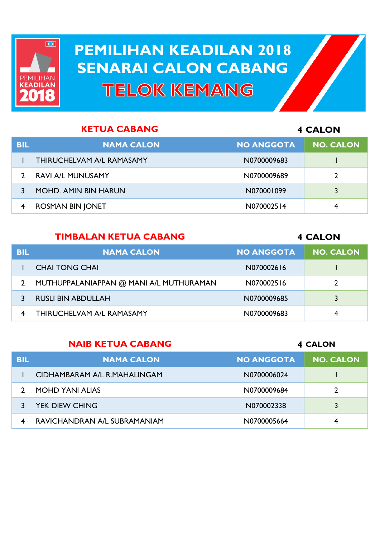

# **PEMILIHAN KEADILAN 2018 PEMILIHAN KEADILAN 2018 SENARAI CALON CABANG SENARAI CALON CABANGTELOK KEMANG**

| <b>KETUA CABANG</b> |                                  |                   | <b>4 CALON</b>   |
|---------------------|----------------------------------|-------------------|------------------|
| <b>BIL</b>          | <b>NAMA CALON</b>                | <b>NO ANGGOTA</b> | <b>NO. CALON</b> |
|                     | <b>THIRUCHELVAM A/L RAMASAMY</b> | N0700009683       |                  |
|                     | <b>RAVI A/L MUNUSAMY</b>         | N0700009689       |                  |
|                     | <b>MOHD. AMIN BIN HARUN</b>      | N070001099        |                  |
|                     | <b>ROSMAN BIN JONET</b>          | N070002514        | 4                |

#### **TIMBALAN KETUA CABANG**

#### **CALON**

| <b>BIL</b> | <b>NAMA CALON</b>                       | <b>NO ANGGOTA</b> | <b>NO. CALON</b> |
|------------|-----------------------------------------|-------------------|------------------|
|            | <b>CHAI TONG CHAI</b>                   | N070002616        |                  |
|            | MUTHUPPALANIAPPAN @ MANI A/L MUTHURAMAN | N070002516        |                  |
|            | <b>RUSLI BIN ABDULLAH</b>               | N0700009685       | 3                |
|            | THIRUCHELVAM A/L RAMASAMY               | N0700009683       | 4                |

#### **NAIB KETUA CABANG**

#### **CALON**

| <b>BIL</b> | <b>NAMA CALON</b>            | <b>NO ANGGOTA</b> | <b>NO. CALON</b> |
|------------|------------------------------|-------------------|------------------|
|            | CIDHAMBARAM A/L R.MAHALINGAM | N0700006024       |                  |
|            | <b>MOHD YANI ALIAS</b>       | N0700009684       | 2                |
|            | <b>YEK DIEW CHING</b>        | N070002338        | 3                |
|            | RAVICHANDRAN A/L SUBRAMANIAM | N0700005664       | 4                |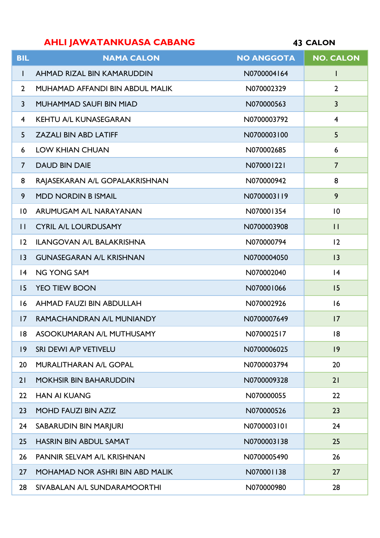# **AHLI JAWATANKUASA CABANG**

**CALON**

| <b>BIL</b>              | <b>NAMA CALON</b>                      | <b>NO ANGGOTA</b> | <b>NO. CALON</b>        |
|-------------------------|----------------------------------------|-------------------|-------------------------|
| I.                      | AHMAD RIZAL BIN KAMARUDDIN             | N0700004164       | L                       |
| $\overline{2}$          | MUHAMAD AFFANDI BIN ABDUL MALIK        | N070002329        | $\overline{2}$          |
| $\overline{\mathbf{3}}$ | MUHAMMAD SAUFI BIN MIAD                | N070000563        | $\overline{3}$          |
| 4                       | <b>KEHTU A/L KUNASEGARAN</b>           | N0700003792       | $\overline{\mathbf{4}}$ |
| 5                       | <b>ZAZALI BIN ABD LATIFF</b>           | N0700003100       | 5                       |
| 6                       | <b>LOW KHIAN CHUAN</b>                 | N070002685        | 6                       |
| $\overline{7}$          | <b>DAUD BIN DAIE</b>                   | N070001221        | $\overline{7}$          |
| 8                       | RAJASEKARAN A/L GOPALAKRISHNAN         | N070000942        | 8                       |
| 9                       | <b>MDD NORDIN B ISMAIL</b>             | N0700003119       | 9                       |
| $\overline{10}$         | ARUMUGAM A/L NARAYANAN                 | N070001354        | 10                      |
| $\mathbf{L}$            | <b>CYRIL A/L LOURDUSAMY</b>            | N0700003908       | $\mathbf{H}$            |
| 12                      | <b>ILANGOVAN A/L BALAKRISHNA</b>       | N070000794        | 2                       |
| $ 3\rangle$             | <b>GUNASEGARAN A/L KRISHNAN</b>        | N0700004050       | 3                       |
| 4                       | <b>NG YONG SAM</b>                     | N070002040        | 4                       |
| 15                      | <b>YEO TIEW BOON</b>                   | N070001066        | 15                      |
| 16                      | AHMAD FAUZI BIN ABDULLAH               | N070002926        | 16                      |
| $\overline{17}$         | RAMACHANDRAN A/L MUNIANDY              | N0700007649       | 17                      |
| 8                       | ASOOKUMARAN A/L MUTHUSAMY              | N070002517        | 18                      |
| 9                       | SRI DEWI A/P VETIVELU                  | N0700006025       | 9                       |
| 20                      | <b>MURALITHARAN A/L GOPAL</b>          | N0700003794       | 20                      |
| 21                      | <b>MOKHSIR BIN BAHARUDDIN</b>          | N0700009328       | 21                      |
| 22                      | <b>HAN AI KUANG</b>                    | N070000055        | 22                      |
| 23                      | <b>MOHD FAUZI BIN AZIZ</b>             | N070000526        | 23                      |
| 24                      | SABARUDIN BIN MARJURI                  | N0700003101       | 24                      |
| 25                      | <b>HASRIN BIN ABDUL SAMAT</b>          | N0700003138       | 25                      |
| 26                      | PANNIR SELVAM A/L KRISHNAN             | N0700005490       | 26                      |
| 27                      | <b>MOHAMAD NOR ASHRI BIN ABD MALIK</b> | N070001138        | 27                      |
| 28                      | SIVABALAN A/L SUNDARAMOORTHI           | N070000980        | 28                      |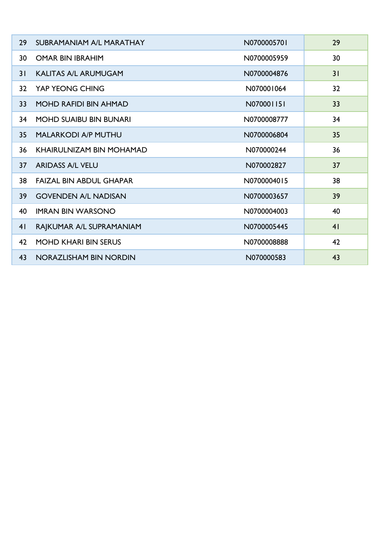| 29              | SUBRAMANIAM A/L MARATHAY       | N0700005701 | 29             |
|-----------------|--------------------------------|-------------|----------------|
| 30              | <b>OMAR BIN IBRAHIM</b>        | N0700005959 | 30             |
| 31              | <b>KALITAS A/L ARUMUGAM</b>    | N0700004876 | 31             |
| 32 <sub>2</sub> | YAP YEONG CHING                | N070001064  | 32             |
| 33              | <b>MOHD RAFIDI BIN AHMAD</b>   | N070001151  | 33             |
| 34              | <b>MOHD SUAIBU BIN BUNARI</b>  | N0700008777 | 34             |
| 35 <sub>2</sub> | <b>MALARKODI A/P MUTHU</b>     | N0700006804 | 35             |
| 36              | KHAIRULNIZAM BIN MOHAMAD       | N070000244  | 36             |
| 37              | <b>ARIDASS A/L VELU</b>        | N070002827  | 37             |
| 38              | <b>FAIZAL BIN ABDUL GHAPAR</b> | N0700004015 | 38             |
| 39              | <b>GOVENDEN A/L NADISAN</b>    | N0700003657 | 39             |
| 40              | <b>IMRAN BIN WARSONO</b>       | N0700004003 | 40             |
| 4 <sup>1</sup>  | RAJKUMAR A/L SUPRAMANIAM       | N0700005445 | 4 <sub>1</sub> |
| 42              | <b>MOHD KHARI BIN SERUS</b>    | N0700008888 | 42             |
| 43              | NORAZLISHAM BIN NORDIN         | N070000583  | 43             |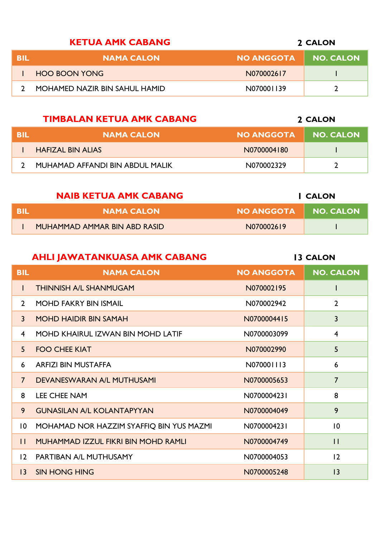### **KETUA AMK CABANG**

| TEHL | <b>NO ANGGOTA</b><br><b>NAMA CALON</b>      | NO. CALON |  |
|------|---------------------------------------------|-----------|--|
|      | <b>HOO BOON YONG</b><br>N070002617          |           |  |
|      | MOHAMED NAZIR BIN SAHUL HAMID<br>N070001139 |           |  |

## **TIMBALAN KETUA AMK CABANG**

| RII | <b>NAMA CALON!</b><br><b>NO ANGGOTA</b>       | <b>NO. CALON</b> |
|-----|-----------------------------------------------|------------------|
|     | <b>HAFIZAL BIN ALIAS</b><br>N0700004180       |                  |
|     | MUHAMAD AFFANDI BIN ABDUL MALIK<br>N070002329 |                  |

| <b>NAIB KETUA AMK CABANG</b> |                              |                   | I CALON   |
|------------------------------|------------------------------|-------------------|-----------|
| BIL                          | <b>NAMA CALON</b>            | <b>NO ANGGOTA</b> | NO. CALON |
|                              | MUHAMMAD AMMAR BIN ABD RASID | N070002619        |           |

## **AHLI JAWATANKUASA AMK CABANG**

| <b>BIL</b>      | <b>NAMA CALON</b>                          | <b>NO ANGGOTA</b> | <b>NO. CALON</b> |
|-----------------|--------------------------------------------|-------------------|------------------|
| L               | <b>THINNISH A/L SHANMUGAM</b>              | N070002195        |                  |
| $\mathbf{2}$    | <b>MOHD FAKRY BIN ISMAIL</b>               | N070002942        | $\overline{2}$   |
| $\mathbf{3}$    | <b>MOHD HAIDIR BIN SAMAH</b>               | N0700004415       | 3                |
| 4               | MOHD KHAIRUL IZWAN BIN MOHD LATIF          | N0700003099       | $\overline{4}$   |
| 5 <sup>1</sup>  | <b>FOO CHEE KIAT</b>                       | N070002990        | 5                |
| 6               | <b>ARFIZI BIN MUSTAFFA</b>                 | N070001113        | 6                |
| $\overline{7}$  | DEVANESWARAN A/L MUTHUSAMI                 | N0700005653       | $\overline{7}$   |
| 8               | <b>LEE CHEE NAM</b>                        | N0700004231       | 8                |
| 9               | <b>GUNASILAN A/L KOLANTAPYYAN</b>          | N0700004049       | 9                |
| $\overline{10}$ | MOHAMAD NOR HAZZIM SYAFFIQ BIN YUS MAZMI   | N0700004231       | $\overline{10}$  |
| $\mathbf{1}$    | <b>MUHAMMAD IZZUL FIKRI BIN MOHD RAMLI</b> | N0700004749       | $\mathbf{1}$     |
| $\overline{2}$  | PARTIBAN A/L MUTHUSAMY                     | N0700004053       | 12               |
| $\overline{13}$ | <b>SIN HONG HING</b>                       | N0700005248       | 3                |

#### **CALON**

**CALON**

**CALON**